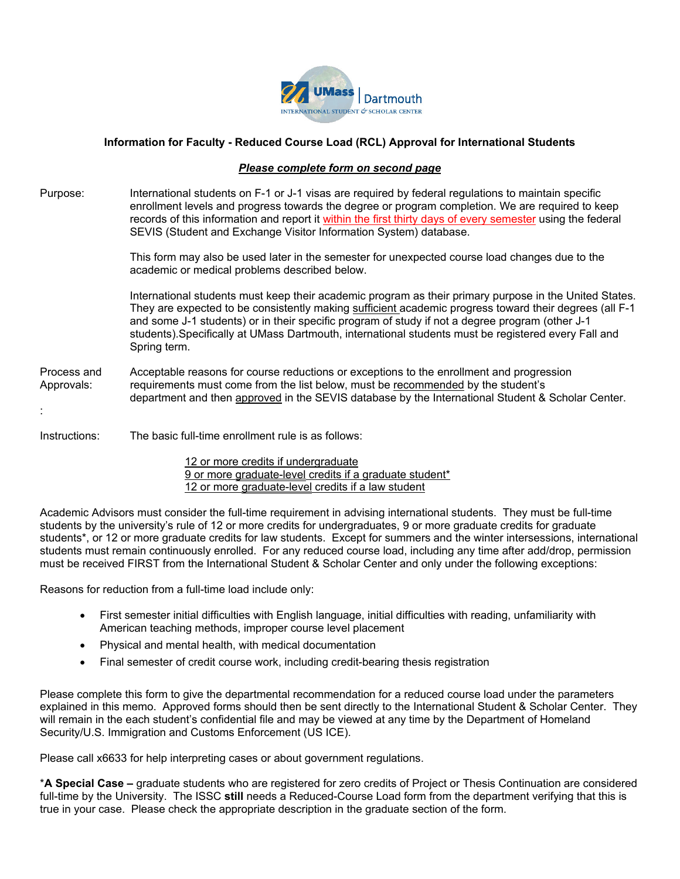

## **Information for Faculty - Reduced Course Load (RCL) Approval for International Students**

## *Please complete form on second page*

Purpose: International students on F-1 or J-1 visas are required by federal regulations to maintain specific enrollment levels and progress towards the degree or program completion. We are required to keep records of this information and report it within the first thirty days of every semester using the federal SEVIS (Student and Exchange Visitor Information System) database.

> This form may also be used later in the semester for unexpected course load changes due to the academic or medical problems described below.

International students must keep their academic program as their primary purpose in the United States. They are expected to be consistently making sufficient academic progress toward their degrees (all F-1 and some J-1 students) or in their specific program of study if not a degree program (other J-1 students).Specifically at UMass Dartmouth, international students must be registered every Fall and Spring term.

Process and Acceptable reasons for course reductions or exceptions to the enrollment and progression Approvals: requirements must come from the list below, must be recommended by the student's department and then approved in the SEVIS database by the International Student & Scholar Center.

## Instructions: The basic full-time enrollment rule is as follows:

:

 12 or more credits if undergraduate 9 or more graduate-level credits if a graduate student\* 12 or more graduate-level credits if a law student

Academic Advisors must consider the full-time requirement in advising international students. They must be full-time students by the university's rule of 12 or more credits for undergraduates, 9 or more graduate credits for graduate students\*, or 12 or more graduate credits for law students. Except for summers and the winter intersessions, international students must remain continuously enrolled. For any reduced course load, including any time after add/drop, permission must be received FIRST from the International Student & Scholar Center and only under the following exceptions:

Reasons for reduction from a full-time load include only:

- First semester initial difficulties with English language, initial difficulties with reading, unfamiliarity with American teaching methods, improper course level placement
- Physical and mental health, with medical documentation
- Final semester of credit course work, including credit-bearing thesis registration

Please complete this form to give the departmental recommendation for a reduced course load under the parameters explained in this memo. Approved forms should then be sent directly to the International Student & Scholar Center. They will remain in the each student's confidential file and may be viewed at any time by the Department of Homeland Security/U.S. Immigration and Customs Enforcement (US ICE).

Please call x6633 for help interpreting cases or about government regulations.

\***A Special Case –** graduate students who are registered for zero credits of Project or Thesis Continuation are considered full-time by the University. The ISSC **still** needs a Reduced-Course Load form from the department verifying that this is true in your case. Please check the appropriate description in the graduate section of the form.